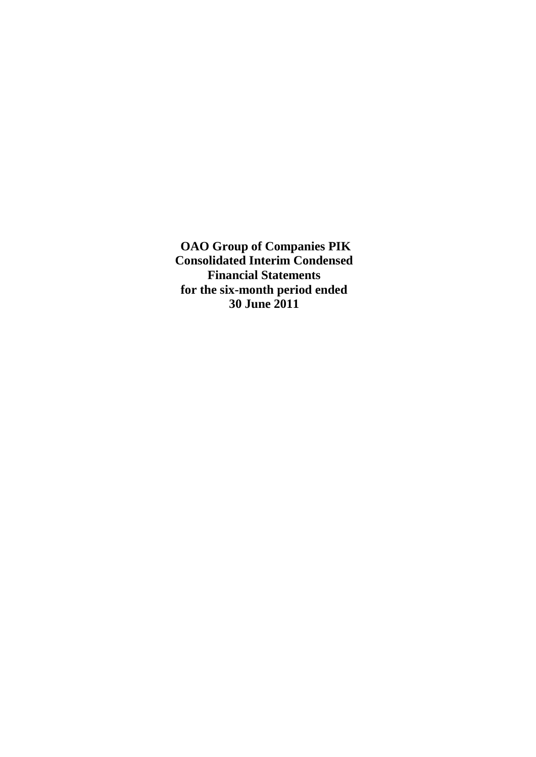**OAO Group of Companies PIK Consolidated Interim Condensed Financial Statements for the six-month period ended 30 June 2011**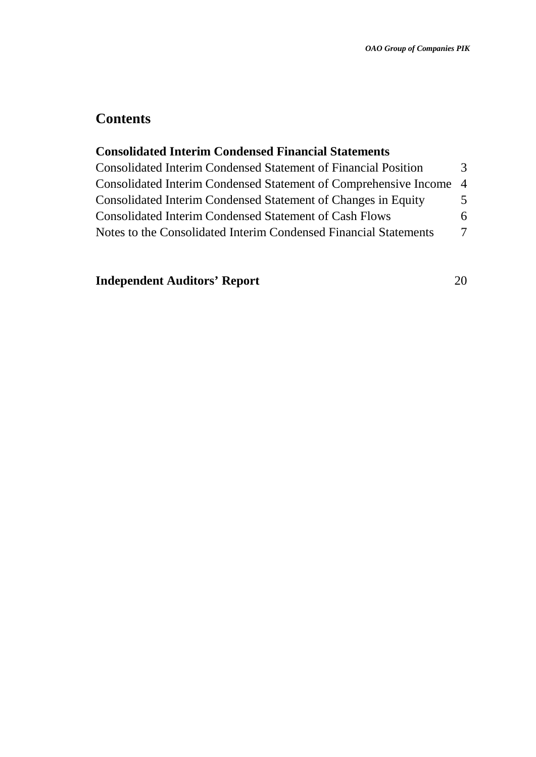# **Contents**

# **Consolidated Interim Condensed Financial Statements**

| <b>Consolidated Interim Condensed Statement of Financial Position</b> | 3 |
|-----------------------------------------------------------------------|---|
| Consolidated Interim Condensed Statement of Comprehensive Income 4    |   |
| Consolidated Interim Condensed Statement of Changes in Equity         | 5 |
| <b>Consolidated Interim Condensed Statement of Cash Flows</b>         | 6 |
| Notes to the Consolidated Interim Condensed Financial Statements      | 7 |

# **Independent Auditors' Report** 20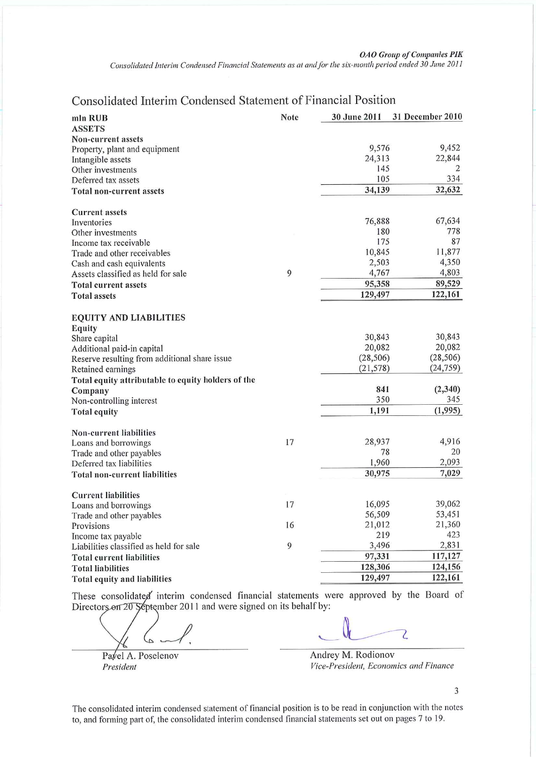Consolidated Interim Condensed Financial Statements as at and for the six-month period ended 30 June 2011

## Consolidated Interim Condensed Statement of Financial Position

| mln RUB                                            | Note | 30 June 2011 | 31 December 2010 |
|----------------------------------------------------|------|--------------|------------------|
| <b>ASSETS</b>                                      |      |              |                  |
| Non-current assets                                 |      |              |                  |
| Property, plant and equipment                      |      | 9,576        | 9,452            |
| Intangible assets                                  |      | 24,313       | 22,844           |
| Other investments                                  |      | 145          | 2                |
| Deferred tax assets                                |      | 105          | 334              |
| Total non-current assets                           |      | 34,139       | 32,632           |
| <b>Current assets</b>                              |      |              |                  |
| Inventories                                        |      | 76,888       | 67,634           |
| Other investments                                  |      | 180          | 778              |
| Income tax receivable                              |      | 175          | 87               |
| Trade and other receivables                        |      | 10,845       | 11,877           |
| Cash and cash equivalents                          |      | 2,503        | 4,350            |
| Assets classified as held for sale                 | 9    | 4,767        | 4,803            |
| <b>Total current assets</b>                        |      | 95,358       | 89,529           |
| <b>Total assets</b>                                |      | 129,497      | 122,161          |
| <b>EQUITY AND LIABILITIES</b>                      |      |              |                  |
| Equity                                             |      |              |                  |
| Share capital                                      |      | 30,843       | 30,843           |
| Additional paid-in capital                         |      | 20,082       | 20,082           |
| Reserve resulting from additional share issue      |      | (28, 506)    | (28, 506)        |
| Retained earnings                                  |      | (21, 578)    | (24, 759)        |
| Total equity attributable to equity holders of the |      |              |                  |
| Company                                            |      | 841          | (2,340)          |
| Non-controlling interest                           |      | 350          | 345              |
| <b>Total equity</b>                                |      | 1,191        | (1,995)          |
| Non-current liabilities                            |      |              |                  |
| Loans and borrowings                               | 17   | 28,937       | 4,916            |
| Trade and other payables                           |      | 78           | 20               |
| Deferred tax liabilities                           |      | 1,960        | 2,093            |
| <b>Total non-current liabilities</b>               |      | 30,975       | 7,029            |
| <b>Current liabilities</b>                         |      |              |                  |
| Loans and borrowings                               | 17   | 16,095       | 39,062           |
| Trade and other payables                           |      | 56,509       | 53,451           |
| Provisions                                         | 16   | 21,012       | 21,360           |
| Income tax payable                                 |      | 219          | 423              |
| Liabilities classified as held for sale            | 9    | 3,496        | 2,831            |
| <b>Total current liabilities</b>                   |      | 97,331       | 117,127          |
| <b>Total liabilities</b>                           |      | 128,306      | 124,156          |
| Total equity and liabilities                       |      | 129,497      | 122,161          |

These consolidated interim condensed financial statements were approved by the Board of Directors on 20 September 2011 and were signed on its behalf by:

Pavel A. Poselenov President

Z

Andrey M. Rodionov Vice-President, Economics and Finance

3

The consolidated interim condensed statement of financial position is to be read in conjunction with the notes to, and forming part of, the consolidated interim condensed financial statements set out on pages 7 to 19.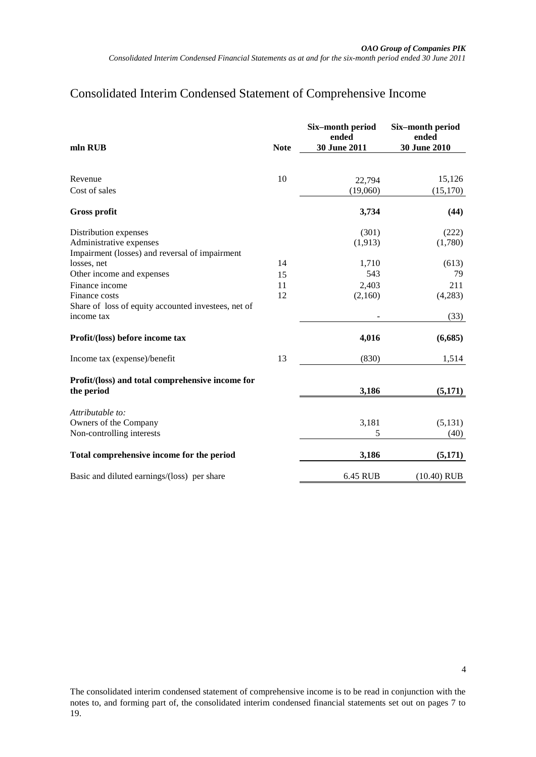### Consolidated Interim Condensed Statement of Comprehensive Income

<span id="page-3-0"></span>

| mln RUB                                                       | <b>Note</b> | Six-month period<br>ended<br>30 June 2011 | Six-month period<br>ended<br><b>30 June 2010</b> |
|---------------------------------------------------------------|-------------|-------------------------------------------|--------------------------------------------------|
|                                                               |             |                                           |                                                  |
| Revenue                                                       | 10          | 22,794                                    | 15,126                                           |
| Cost of sales                                                 |             | (19,060)                                  | (15, 170)                                        |
| <b>Gross profit</b>                                           |             | 3,734                                     | (44)                                             |
| Distribution expenses                                         |             | (301)                                     | (222)                                            |
| Administrative expenses                                       |             | (1, 913)                                  | (1,780)                                          |
| Impairment (losses) and reversal of impairment<br>losses, net | 14          | 1,710                                     | (613)                                            |
| Other income and expenses                                     | 15          | 543                                       | 79                                               |
| Finance income                                                | 11          | 2,403                                     | 211                                              |
| Finance costs                                                 | 12          | (2,160)                                   | (4,283)                                          |
| Share of loss of equity accounted investees, net of           |             |                                           |                                                  |
| income tax                                                    |             |                                           | (33)                                             |
| Profit/(loss) before income tax                               |             | 4,016                                     | (6,685)                                          |
| Income tax (expense)/benefit                                  | 13          | (830)                                     | 1,514                                            |
| Profit/(loss) and total comprehensive income for              |             |                                           |                                                  |
| the period                                                    |             | 3,186                                     | (5,171)                                          |
| Attributable to:                                              |             |                                           |                                                  |
| Owners of the Company                                         |             | 3,181                                     | (5,131)                                          |
| Non-controlling interests                                     |             | 5                                         | (40)                                             |
| Total comprehensive income for the period                     |             | 3,186                                     | (5,171)                                          |
| Basic and diluted earnings/(loss) per share                   |             | 6.45 RUB                                  | $(10.40)$ RUB                                    |

The consolidated interim condensed statement of comprehensive income is to be read in conjunction with the notes to, and forming part of, the consolidated interim condensed financial statements set out on pages [7](#page-6-1) to 19.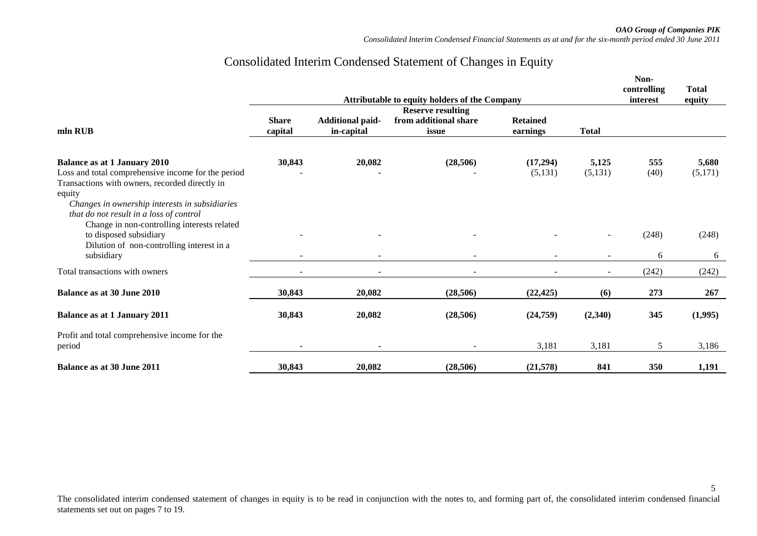*OAO Group of Companies PIK*

5

*Consolidated Interim Condensed Financial Statements as at and for the six-month period ended 30 June 2011*

# Consolidated Interim Condensed Statement of Changes in Equity

<span id="page-4-0"></span>

|                                                                                                                                                                                                                 |                         |                                       | Attributable to equity holders of the Company |                             |                          | Non-<br>controlling<br>interest | <b>Total</b><br>equity |
|-----------------------------------------------------------------------------------------------------------------------------------------------------------------------------------------------------------------|-------------------------|---------------------------------------|-----------------------------------------------|-----------------------------|--------------------------|---------------------------------|------------------------|
|                                                                                                                                                                                                                 |                         |                                       | <b>Reserve resulting</b>                      |                             |                          |                                 |                        |
| mln RUB                                                                                                                                                                                                         | <b>Share</b><br>capital | <b>Additional paid-</b><br>in-capital | from additional share<br>issue                | <b>Retained</b><br>earnings | <b>Total</b>             |                                 |                        |
| <b>Balance as at 1 January 2010</b><br>Loss and total comprehensive income for the period<br>Transactions with owners, recorded directly in<br>equity                                                           | 30,843                  | 20,082                                | (28, 506)                                     | (17,294)<br>(5,131)         | 5,125<br>(5,131)         | 555<br>(40)                     | 5,680<br>(5,171)       |
| Changes in ownership interests in subsidiaries<br>that do not result in a loss of control<br>Change in non-controlling interests related<br>to disposed subsidiary<br>Dilution of non-controlling interest in a |                         |                                       |                                               |                             | $\overline{\phantom{a}}$ | (248)                           | (248)                  |
| subsidiary                                                                                                                                                                                                      |                         |                                       |                                               |                             |                          | 6                               | 6                      |
| Total transactions with owners                                                                                                                                                                                  | ۰                       | $\overline{\phantom{a}}$              | $\overline{\phantom{a}}$                      |                             | $\overline{\phantom{a}}$ | (242)                           | (242)                  |
| <b>Balance as at 30 June 2010</b>                                                                                                                                                                               | 30.843                  | 20,082                                | (28, 506)                                     | (22, 425)                   | (6)                      | 273                             | 267                    |
| <b>Balance as at 1 January 2011</b>                                                                                                                                                                             | 30,843                  | 20,082                                | (28,506)                                      | (24,759)                    | (2,340)                  | 345                             | (1,995)                |
| Profit and total comprehensive income for the<br>period                                                                                                                                                         |                         |                                       |                                               | 3,181                       | 3,181                    | 5                               | 3,186                  |
| Balance as at 30 June 2011                                                                                                                                                                                      | 30,843                  | 20,082                                | (28, 506)                                     | (21,578)                    | 841                      | 350                             | 1,191                  |

The consolidated interim condensed statement of changes in equity is to be read in conjunction with the notes to, and forming part of, the consolidated interim condensed financial statements set out on pages [7](#page-6-2) to 19.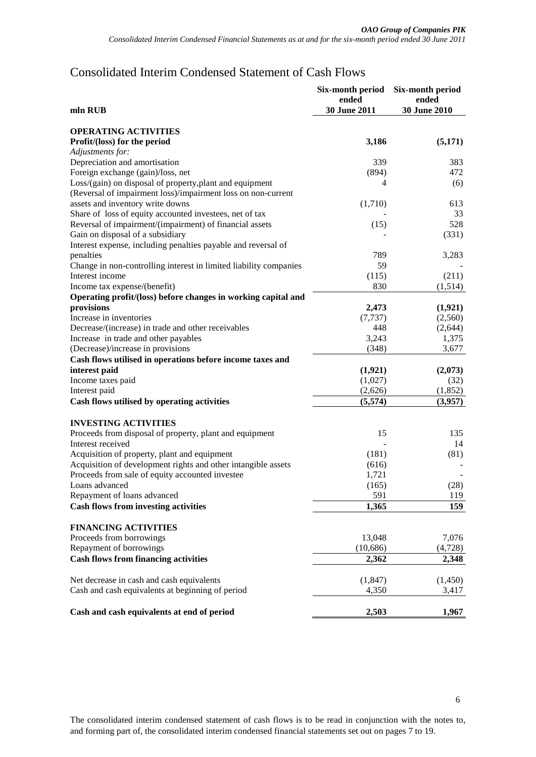## <span id="page-5-0"></span>Consolidated Interim Condensed Statement of Cash Flows

|                                                                                      | Six-month period<br>ended | Six-month period<br>ended |
|--------------------------------------------------------------------------------------|---------------------------|---------------------------|
| mln RUB                                                                              | 30 June 2011              | <b>30 June 2010</b>       |
| <b>OPERATING ACTIVITIES</b>                                                          |                           |                           |
| Profit/(loss) for the period                                                         | 3,186                     | (5,171)                   |
| Adjustments for:                                                                     |                           |                           |
| Depreciation and amortisation                                                        | 339                       | 383                       |
| Foreign exchange (gain)/loss, net                                                    | (894)                     | 472                       |
| Loss/(gain) on disposal of property, plant and equipment                             | 4                         | (6)                       |
| (Reversal of impairment loss)/impairment loss on non-current                         |                           |                           |
| assets and inventory write downs                                                     | (1,710)                   | 613                       |
| Share of loss of equity accounted investees, net of tax                              |                           | 33                        |
| Reversal of impairment/(impairment) of financial assets                              | (15)                      | 528                       |
| Gain on disposal of a subsidiary                                                     |                           | (331)                     |
| Interest expense, including penalties payable and reversal of                        |                           |                           |
| penalties                                                                            | 789                       |                           |
|                                                                                      | 59                        | 3,283                     |
| Change in non-controlling interest in limited liability companies<br>Interest income |                           |                           |
|                                                                                      | (115)                     | (211)                     |
| Income tax expense/(benefit)                                                         | 830                       | (1,514)                   |
| Operating profit/(loss) before changes in working capital and                        |                           |                           |
| provisions                                                                           | 2,473                     | (1,921)                   |
| Increase in inventories                                                              | (7, 737)                  | (2,560)                   |
| Decrease/(increase) in trade and other receivables                                   | 448                       | (2,644)                   |
| Increase in trade and other payables                                                 | 3,243                     | 1,375                     |
| (Decrease)/increase in provisions                                                    | (348)                     | 3,677                     |
| Cash flows utilised in operations before income taxes and                            |                           |                           |
| interest paid                                                                        | (1,921)                   | (2,073)                   |
| Income taxes paid                                                                    | (1,027)                   | (32)                      |
| Interest paid                                                                        | (2,626)                   | (1,852)                   |
| Cash flows utilised by operating activities                                          | (5,574)                   | (3,957)                   |
| <b>INVESTING ACTIVITIES</b>                                                          |                           |                           |
| Proceeds from disposal of property, plant and equipment                              | 15                        | 135                       |
| Interest received                                                                    |                           | 14                        |
| Acquisition of property, plant and equipment                                         | (181)                     | (81)                      |
| Acquisition of development rights and other intangible assets                        | (616)                     |                           |
| Proceeds from sale of equity accounted investee                                      | 1,721                     |                           |
| Loans advanced                                                                       | (165)                     | (28)                      |
| Repayment of loans advanced                                                          | 591                       | 119                       |
| <b>Cash flows from investing activities</b>                                          | 1,365                     | 159                       |
|                                                                                      |                           |                           |
| <b>FINANCING ACTIVITIES</b>                                                          |                           |                           |
| Proceeds from borrowings                                                             | 13,048                    | 7,076                     |
| Repayment of borrowings                                                              | (10,686)                  | (4,728)                   |
| <b>Cash flows from financing activities</b>                                          | 2,362                     | 2,348                     |
| Net decrease in cash and cash equivalents                                            | (1,847)                   | (1,450)                   |
| Cash and cash equivalents at beginning of period                                     | 4,350                     | 3,417                     |
| Cash and cash equivalents at end of period                                           | 2,503                     | 1,967                     |

The consolidated interim condensed statement of cash flows is to be read in conjunction with the notes to, and forming part of, the consolidated interim condensed financial statements set out on page[s 7](#page-6-0) to 19.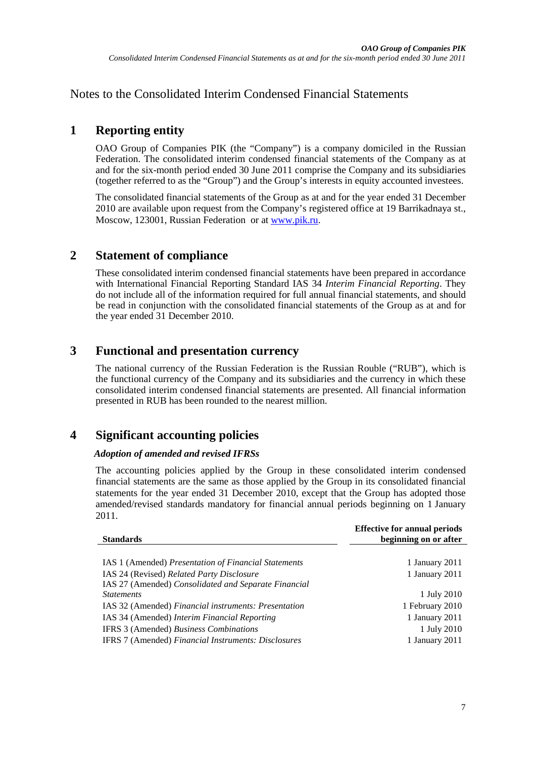<span id="page-6-2"></span><span id="page-6-0"></span>Notes to the Consolidated Interim Condensed Financial Statements

## <span id="page-6-1"></span>**1 Reporting entity**

OAO Group of Companies PIK (the "Company") is a company domiciled in the Russian Federation. The consolidated interim condensed financial statements of the Company as at and for the six-month period ended 30 June 2011 comprise the Company and its subsidiaries (together referred to as the "Group") and the Group's interests in equity accounted investees.

The consolidated financial statements of the Group as at and for the year ended 31 December 2010 are available upon request from the Company's registered office at 19 Barrikadnaya st., Moscow, 123001, Russian Federation or at [www.pik.ru.](http://www.pik.ru/)

### **2 Statement of compliance**

These consolidated interim condensed financial statements have been prepared in accordance with International Financial Reporting Standard IAS 34 *Interim Financial Reporting*. They do not include all of the information required for full annual financial statements, and should be read in conjunction with the consolidated financial statements of the Group as at and for the year ended 31 December 2010.

## **3 Functional and presentation currency**

The national currency of the Russian Federation is the Russian Rouble ("RUB"), which is the functional currency of the Company and its subsidiaries and the currency in which these consolidated interim condensed financial statements are presented. All financial information presented in RUB has been rounded to the nearest million.

# **4 Significant accounting policies**

#### *Adoption of amended and revised IFRSs*

The accounting policies applied by the Group in these consolidated interim condensed financial statements are the same as those applied by the Group in its consolidated financial statements for the year ended 31 December 2010, except that the Group has adopted those amended/revised standards mandatory for financial annual periods beginning on 1 January 2011.

| <b>Standards</b>                                     | <b>Effective for annual periods</b><br>beginning on or after |
|------------------------------------------------------|--------------------------------------------------------------|
|                                                      |                                                              |
| IAS 1 (Amended) Presentation of Financial Statements | 1 January 2011                                               |
| IAS 24 (Revised) Related Party Disclosure            | 1 January 2011                                               |
| IAS 27 (Amended) Consolidated and Separate Financial |                                                              |
| <i>Statements</i>                                    | 1 July 2010                                                  |
| IAS 32 (Amended) Financial instruments: Presentation | 1 February 2010                                              |
| IAS 34 (Amended) Interim Financial Reporting         | 1 January 2011                                               |
| IFRS 3 (Amended) Business Combinations               | 1 July 2010                                                  |
| IFRS 7 (Amended) Financial Instruments: Disclosures  | 1 January 2011                                               |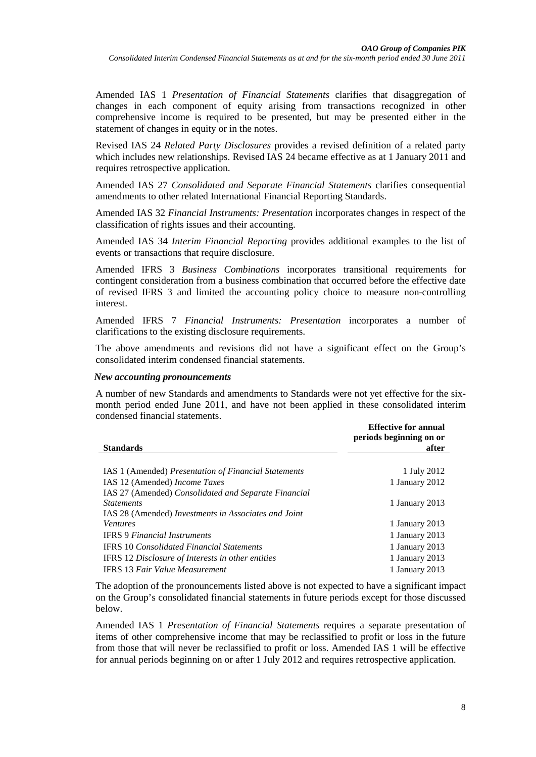Amended IAS 1 *Presentation of Financial Statements* clarifies that disaggregation of changes in each component of equity arising from transactions recognized in other comprehensive income is required to be presented, but may be presented either in the statement of changes in equity or in the notes.

Revised IAS 24 *Related Party Disclosures* provides a revised definition of a related party which includes new relationships. Revised IAS 24 became effective as at 1 January 2011 and requires retrospective application.

Amended IAS 27 *Consolidated and Separate Financial Statements* clarifies consequential amendments to other related International Financial Reporting Standards.

Amended IAS 32 *Financial Instruments: Presentation* incorporates changes in respect of the classification of rights issues and their accounting.

Amended IAS 34 *Interim Financial Reporting* provides additional examples to the list of events or transactions that require disclosure.

Amended IFRS 3 *Business Combinations* incorporates transitional requirements for contingent consideration from a business combination that occurred before the effective date of revised IFRS 3 and limited the accounting policy choice to measure non-controlling interest.

Amended IFRS 7 *Financial Instruments: Presentation* incorporates a number of clarifications to the existing disclosure requirements.

The above amendments and revisions did not have a significant effect on the Group's consolidated interim condensed financial statements.

#### *New accounting pronouncements*

A number of new Standards and amendments to Standards were not yet effective for the sixmonth period ended June 2011, and have not been applied in these consolidated interim condensed financial statements.

|                                                      | <b>Effective for annual</b><br>periods beginning on or |
|------------------------------------------------------|--------------------------------------------------------|
| <b>Standards</b>                                     | after                                                  |
|                                                      |                                                        |
| IAS 1 (Amended) Presentation of Financial Statements | 1 July 2012                                            |
| IAS 12 (Amended) Income Taxes                        | 1 January 2012                                         |
| IAS 27 (Amended) Consolidated and Separate Financial |                                                        |
| <i>Statements</i>                                    | 1 January 2013                                         |
| IAS 28 (Amended) Investments in Associates and Joint |                                                        |
| <b>Ventures</b>                                      | 1 January 2013                                         |
| <b>IFRS 9 Financial Instruments</b>                  | 1 January 2013                                         |
| <b>IFRS 10 Consolidated Financial Statements</b>     | 1 January 2013                                         |
| IFRS 12 Disclosure of Interests in other entities    | 1 January 2013                                         |
| <b>IFRS</b> 13 Fair Value Measurement                | 1 January 2013                                         |

The adoption of the pronouncements listed above is not expected to have a significant impact on the Group's consolidated financial statements in future periods except for those discussed below.

Amended IAS 1 *Presentation of Financial Statements* requires a separate presentation of items of other comprehensive income that may be reclassified to profit or loss in the future from those that will never be reclassified to profit or loss. Amended IAS 1 will be effective for annual periods beginning on or after 1 July 2012 and requires retrospective application.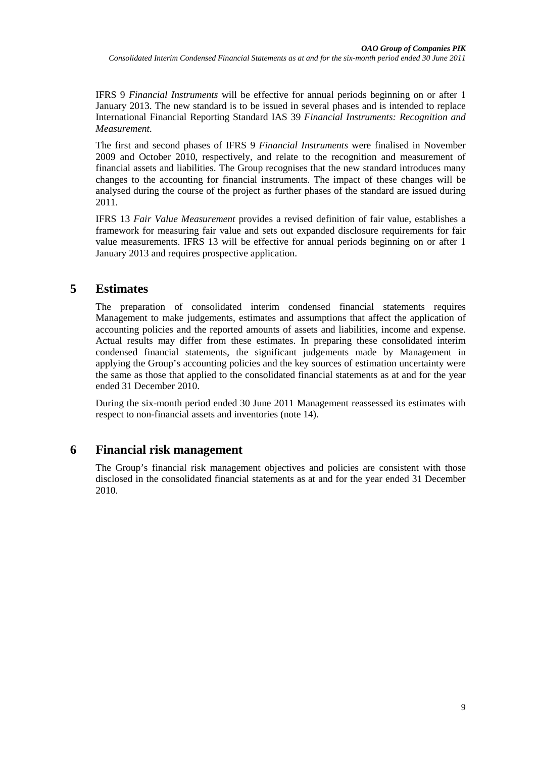IFRS 9 *Financial Instruments* will be effective for annual periods beginning on or after 1 January 2013. The new standard is to be issued in several phases and is intended to replace International Financial Reporting Standard IAS 39 *Financial Instruments: Recognition and Measurement.*

The first and second phases of IFRS 9 *Financial Instruments* were finalised in November 2009 and October 2010, respectively, and relate to the recognition and measurement of financial assets and liabilities. The Group recognises that the new standard introduces many changes to the accounting for financial instruments. The impact of these changes will be analysed during the course of the project as further phases of the standard are issued during 2011.

IFRS 13 *Fair Value Measurement* provides a revised definition of fair value, establishes a framework for measuring fair value and sets out expanded disclosure requirements for fair value measurements. IFRS 13 will be effective for annual periods beginning on or after 1 January 2013 and requires prospective application.

### **5 Estimates**

The preparation of consolidated interim condensed financial statements requires Management to make judgements, estimates and assumptions that affect the application of accounting policies and the reported amounts of assets and liabilities, income and expense. Actual results may differ from these estimates. In preparing these consolidated interim condensed financial statements, the significant judgements made by Management in applying the Group's accounting policies and the key sources of estimation uncertainty were the same as those that applied to the consolidated financial statements as at and for the year ended 31 December 2010.

During the six-month period ended 30 June 2011 Management reassessed its estimates with respect to non-financial assets and inventories (note [14\)](#page-13-0).

## **6 Financial risk management**

The Group's financial risk management objectives and policies are consistent with those disclosed in the consolidated financial statements as at and for the year ended 31 December 2010.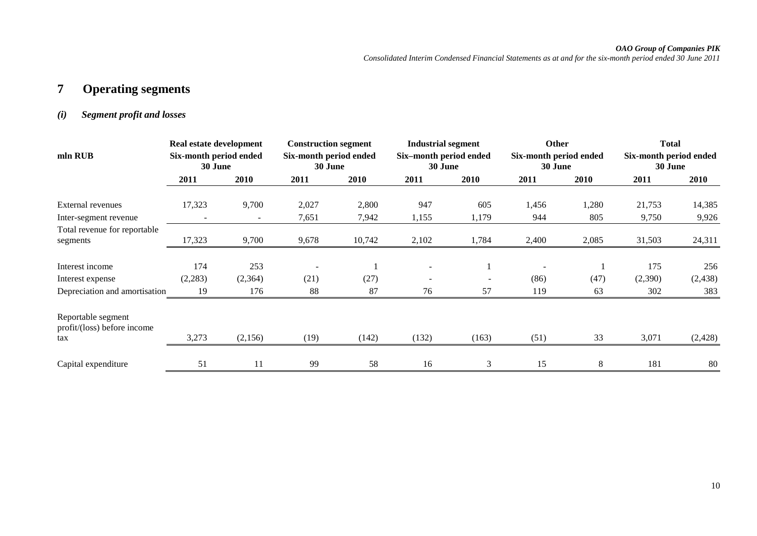#### *OAO Group of Companies PIK*

*Consolidated Interim Condensed Financial Statements as at and for the six-month period ended 30 June 2011*

# **7 Operating segments**

#### *(i) Segment profit and losses*

|                                                   | Real estate development           |                          | <b>Construction segment</b>       |        | <b>Industrial segment</b>         |       | <b>Other</b>                      |       | <b>Total</b>                      |          |
|---------------------------------------------------|-----------------------------------|--------------------------|-----------------------------------|--------|-----------------------------------|-------|-----------------------------------|-------|-----------------------------------|----------|
| mln RUB                                           | Six-month period ended<br>30 June |                          | Six-month period ended<br>30 June |        | Six-month period ended<br>30 June |       | Six-month period ended<br>30 June |       | Six-month period ended<br>30 June |          |
|                                                   | 2011                              | 2010                     | 2011                              | 2010   | 2011                              | 2010  | 2011                              | 2010  | 2011                              | 2010     |
| External revenues                                 | 17,323                            | 9,700                    | 2,027                             | 2,800  | 947                               | 605   | 1,456                             | 1,280 | 21,753                            | 14,385   |
| Inter-segment revenue                             |                                   | $\overline{\phantom{a}}$ | 7,651                             | 7,942  | 1,155                             | 1,179 | 944                               | 805   | 9,750                             | 9,926    |
| Total revenue for reportable<br>segments          | 17,323                            | 9,700                    | 9,678                             | 10,742 | 2,102                             | 1,784 | 2,400                             | 2,085 | 31,503                            | 24,311   |
| Interest income                                   | 174                               | 253                      |                                   |        |                                   |       |                                   |       | 175                               | 256      |
| Interest expense                                  | (2,283)                           | (2,364)                  | (21)                              | (27)   |                                   |       | (86)                              | (47)  | (2,390)                           | (2, 438) |
| Depreciation and amortisation                     | 19                                | 176                      | 88                                | 87     | 76                                | 57    | 119                               | 63    | 302                               | 383      |
| Reportable segment<br>profit/(loss) before income |                                   |                          |                                   |        |                                   |       |                                   |       |                                   |          |
| tax                                               | 3,273                             | (2,156)                  | (19)                              | (142)  | (132)                             | (163) | (51)                              | 33    | 3,071                             | (2, 428) |
| Capital expenditure                               | 51                                | 11                       | 99                                | 58     | 16                                | 3     | 15                                | 8     | 181                               | 80       |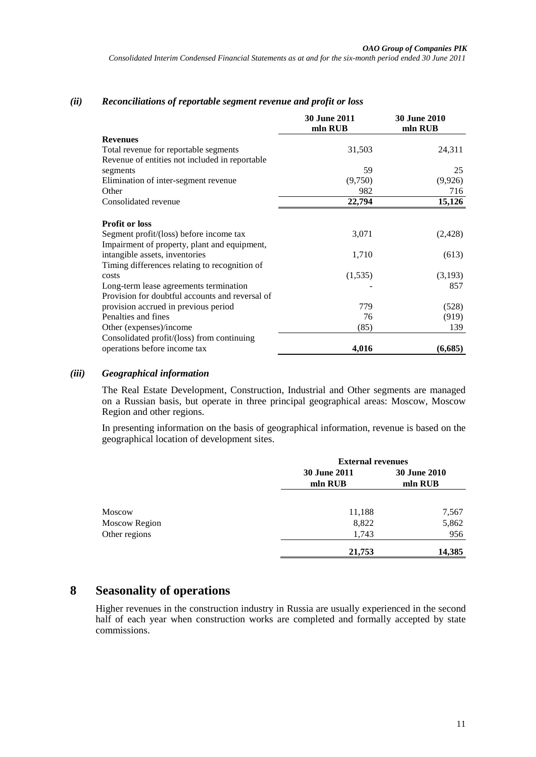#### *(ii) Reconciliations of reportable segment revenue and profit or loss*

|                                                                                         | <b>30 June 2011</b><br>mln RUB | <b>30 June 2010</b><br>mln RUB |
|-----------------------------------------------------------------------------------------|--------------------------------|--------------------------------|
| <b>Revenues</b>                                                                         |                                |                                |
| Total revenue for reportable segments                                                   | 31,503                         | 24,311                         |
| Revenue of entities not included in reportable                                          |                                |                                |
| segments                                                                                | 59                             | 25                             |
| Elimination of inter-segment revenue                                                    | (9,750)                        | (9,926)                        |
| Other                                                                                   | 982                            | 716                            |
| Consolidated revenue                                                                    | 22,794                         | 15,126                         |
| <b>Profit or loss</b>                                                                   |                                |                                |
| Segment profit/(loss) before income tax<br>Impairment of property, plant and equipment, | 3,071                          | (2, 428)                       |
| intangible assets, inventories                                                          | 1,710                          | (613)                          |
| Timing differences relating to recognition of                                           |                                |                                |
| costs                                                                                   | (1,535)                        | (3,193)                        |
| Long-term lease agreements termination                                                  |                                | 857                            |
| Provision for doubtful accounts and reversal of                                         |                                |                                |
| provision accrued in previous period                                                    | 779                            | (528)                          |
| Penalties and fines                                                                     | 76                             | (919)                          |
| Other (expenses)/income                                                                 | (85)                           | 139                            |
| Consolidated profit/(loss) from continuing                                              |                                |                                |
| operations before income tax                                                            | 4,016                          | (6,685)                        |

#### *(iii) Geographical information*

The Real Estate Development, Construction, Industrial and Other segments are managed on a Russian basis, but operate in three principal geographical areas: Moscow, Moscow Region and other regions.

In presenting information on the basis of geographical information, revenue is based on the geographical location of development sites.

|                      |                     | <b>External revenues</b> |  |  |  |
|----------------------|---------------------|--------------------------|--|--|--|
|                      | <b>30 June 2011</b> | <b>30 June 2010</b>      |  |  |  |
|                      | mln RUB             | mln RUB                  |  |  |  |
|                      |                     |                          |  |  |  |
| <b>Moscow</b>        | 11,188              | 7,567                    |  |  |  |
| <b>Moscow Region</b> | 8,822               | 5,862                    |  |  |  |
| Other regions        | 1,743               | 956                      |  |  |  |
|                      | 21,753              | 14,385                   |  |  |  |

### **8 Seasonality of operations**

Higher revenues in the construction industry in Russia are usually experienced in the second half of each year when construction works are completed and formally accepted by state commissions.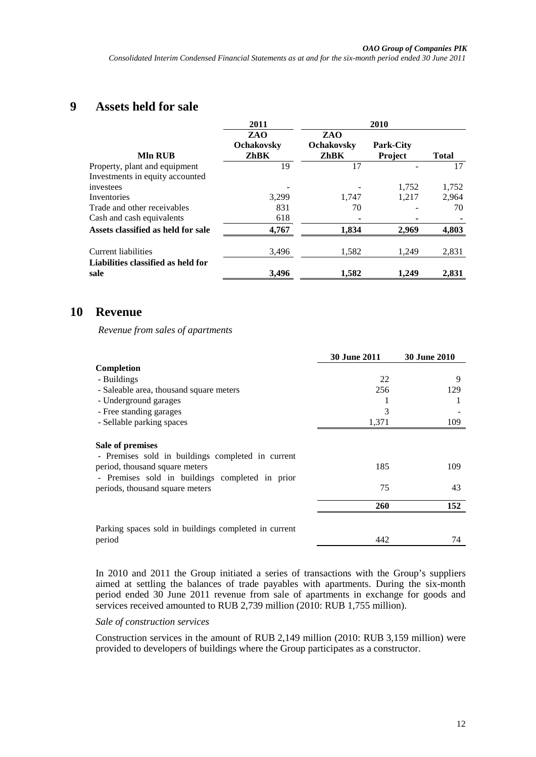### **9 Assets held for sale**

|                                            | 2011                             |                                         | 2010                               |              |
|--------------------------------------------|----------------------------------|-----------------------------------------|------------------------------------|--------------|
| <b>Mln RUB</b>                             | ZAO<br><b>Ochakovsky</b><br>ZhBK | ZAO<br><b>Ochakovsky</b><br><b>ZhBK</b> | <b>Park-City</b><br><b>Project</b> | <b>Total</b> |
| Property, plant and equipment              | 19                               | 17                                      |                                    | 17           |
| Investments in equity accounted            |                                  |                                         |                                    |              |
| investees                                  |                                  |                                         | 1,752                              | 1,752        |
| Inventories                                | 3,299                            | 1.747                                   | 1.217                              | 2,964        |
| Trade and other receivables                | 831                              | 70                                      |                                    | 70           |
| Cash and cash equivalents                  | 618                              |                                         |                                    |              |
| Assets classified as held for sale         | 4,767                            | 1.834                                   | 2,969                              | 4,803        |
| Current liabilities                        | 3,496                            | 1,582                                   | 1,249                              | 2,831        |
| Liabilities classified as held for<br>sale | 3,496                            | 1,582                                   | 1.249                              | 2,831        |

### <span id="page-11-0"></span>**10 Revenue**

*Revenue from sales of apartments*

|                                                       | <b>30 June 2011</b> | <b>30 June 2010</b> |
|-------------------------------------------------------|---------------------|---------------------|
| Completion                                            |                     |                     |
| - Buildings                                           | 22                  | 9                   |
| - Saleable area, thousand square meters               | 256                 | 129                 |
| - Underground garages                                 |                     |                     |
| - Free standing garages                               | 3                   |                     |
| - Sellable parking spaces                             | 1,371               | 109                 |
| Sale of premises                                      |                     |                     |
| - Premises sold in buildings completed in current     |                     |                     |
| period, thousand square meters                        | 185                 | 109                 |
| - Premises sold in buildings completed in prior       |                     |                     |
| periods, thousand square meters                       | 75                  | 43                  |
|                                                       | 260                 | 152                 |
|                                                       |                     |                     |
| Parking spaces sold in buildings completed in current |                     |                     |
| period                                                | 442                 | 74                  |

In 2010 and 2011 the Group initiated a series of transactions with the Group's suppliers aimed at settling the balances of trade payables with apartments. During the six-month period ended 30 June 2011 revenue from sale of apartments in exchange for goods and services received amounted to RUB 2,739 million (2010: RUB 1,755 million).

#### *Sale of construction services*

Construction services in the amount of RUB 2,149 million (2010: RUB 3,159 million) were provided to developers of buildings where the Group participates as a constructor.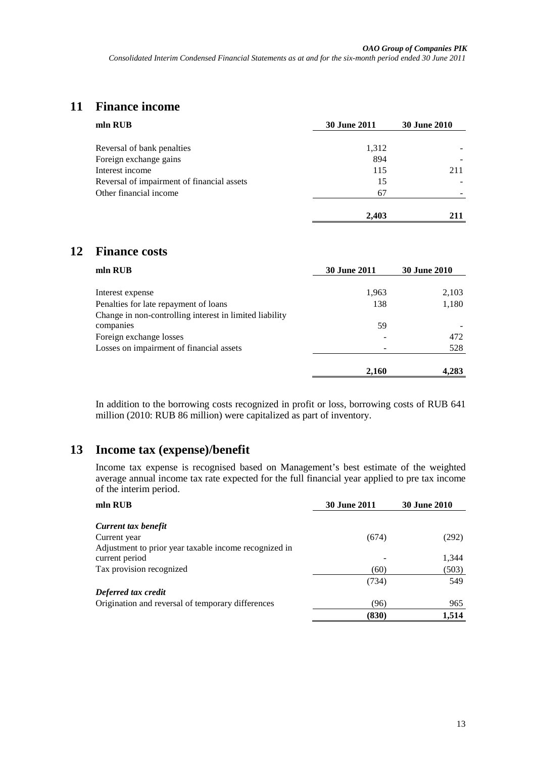## <span id="page-12-0"></span>**11 Finance income**

| mln RUB                                    | <b>30 June 2011</b> | <b>30 June 2010</b> |  |
|--------------------------------------------|---------------------|---------------------|--|
| Reversal of bank penalties                 | 1,312               |                     |  |
| Foreign exchange gains                     | 894                 |                     |  |
| Interest income                            | 115                 | 211                 |  |
| Reversal of impairment of financial assets | 15                  |                     |  |
| Other financial income                     | 67                  |                     |  |
|                                            |                     |                     |  |
|                                            | 2.403               | 211                 |  |

### <span id="page-12-1"></span>**12 Finance costs**

| mln RUB                                                 | <b>30 June 2011</b> | <b>30 June 2010</b> |  |
|---------------------------------------------------------|---------------------|---------------------|--|
| Interest expense                                        | 1,963               | 2,103               |  |
| Penalties for late repayment of loans                   | 138                 | 1,180               |  |
| Change in non-controlling interest in limited liability |                     |                     |  |
| companies                                               | 59                  |                     |  |
| Foreign exchange losses                                 |                     | 472                 |  |
| Losses on impairment of financial assets                | -                   | 528                 |  |
|                                                         | 2,160               | 4,283               |  |

In addition to the borrowing costs recognized in profit or loss, borrowing costs of RUB 641 million (2010: RUB 86 million) were capitalized as part of inventory.

### <span id="page-12-2"></span>**13 Income tax (expense)/benefit**

Income tax expense is recognised based on Management's best estimate of the weighted average annual income tax rate expected for the full financial year applied to pre tax income of the interim period.

| <b>30 June 2011</b> | <b>30 June 2010</b> |  |
|---------------------|---------------------|--|
|                     |                     |  |
|                     |                     |  |
| (674)               | (292)               |  |
|                     |                     |  |
|                     | 1,344               |  |
| (60)                | (503)               |  |
| (734)               | 549                 |  |
|                     |                     |  |
| (96)                | 965                 |  |
| (830)               | 1,514               |  |
|                     |                     |  |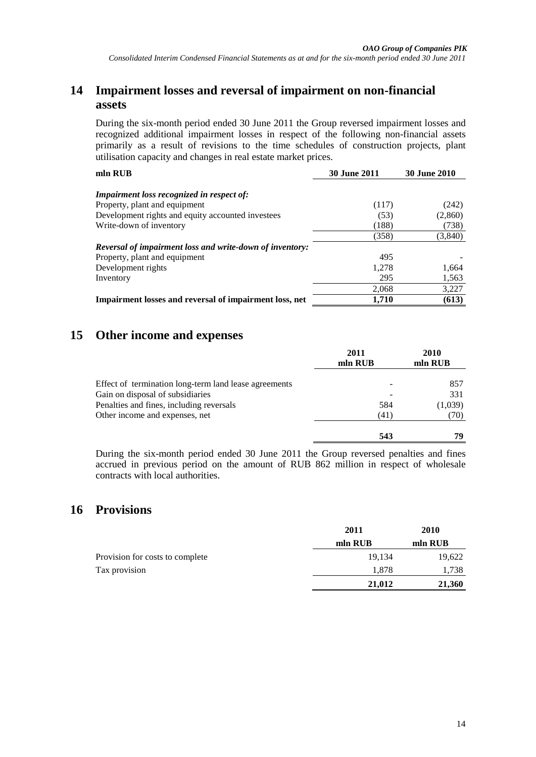### <span id="page-13-0"></span>**14 Impairment losses and reversal of impairment on non-financial assets**

During the six-month period ended 30 June 2011 the Group reversed impairment losses and recognized additional impairment losses in respect of the following non-financial assets primarily as a result of revisions to the time schedules of construction projects, plant utilisation capacity and changes in real estate market prices.

| mln RUB                                                         | <b>30 June 2011</b> | <b>30 June 2010</b> |  |
|-----------------------------------------------------------------|---------------------|---------------------|--|
| <b>Impairment loss recognized in respect of:</b>                |                     |                     |  |
| Property, plant and equipment                                   | (117)               | (242)               |  |
| Development rights and equity accounted investees               | (53)                | (2,860)             |  |
| Write-down of inventory                                         | (188)               | (738)               |  |
|                                                                 | (358)               | (3,840)             |  |
| <b>Reversal of impairment loss and write-down of inventory:</b> |                     |                     |  |
| Property, plant and equipment                                   | 495                 |                     |  |
| Development rights                                              | 1.278               | 1,664               |  |
| Inventory                                                       | 295                 | 1,563               |  |
|                                                                 | 2,068               | 3,227               |  |
| Impairment losses and reversal of impairment loss, net          | 1,710               | (613)               |  |

## <span id="page-13-1"></span>**15 Other income and expenses**

|                                                       | 2011<br>mln RUB | 2010<br>mln RUB |
|-------------------------------------------------------|-----------------|-----------------|
| Effect of termination long-term land lease agreements | -               | 857             |
| Gain on disposal of subsidiaries                      |                 | 331             |
| Penalties and fines, including reversals              | 584             | (1,039)         |
| Other income and expenses, net                        | (41)            | (70)            |
|                                                       | 543             | 79              |

During the six-month period ended 30 June 2011 the Group reversed penalties and fines accrued in previous period on the amount of RUB 862 million in respect of wholesale contracts with local authorities.

### **16 Provisions**

|                                 | 2011    | 2010    |  |
|---------------------------------|---------|---------|--|
|                                 | mln RUB | mln RUB |  |
| Provision for costs to complete | 19.134  | 19,622  |  |
| Tax provision                   | 1.878   | 1,738   |  |
|                                 | 21,012  | 21,360  |  |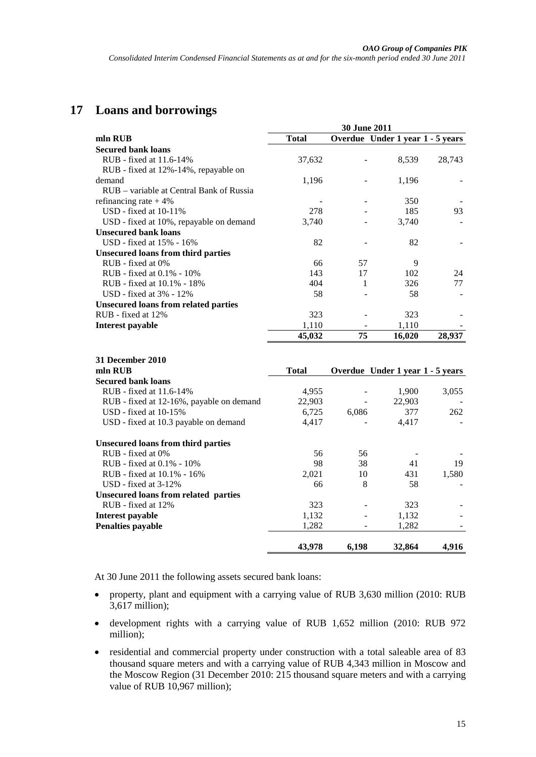# **17 Loans and borrowings**

|                                             | <b>30 June 2011</b> |    |                                  |        |
|---------------------------------------------|---------------------|----|----------------------------------|--------|
| mln RUB                                     | <b>Total</b>        |    | Overdue Under 1 year 1 - 5 years |        |
| <b>Secured bank loans</b>                   |                     |    |                                  |        |
| RUB - fixed at 11.6-14%                     | 37,632              |    | 8,539                            | 28,743 |
| RUB - fixed at 12%-14%, repayable on        |                     |    |                                  |        |
| demand                                      | 1,196               |    | 1,196                            |        |
| RUB – variable at Central Bank of Russia    |                     |    |                                  |        |
| refinancing rate $+4\%$                     |                     |    | 350                              |        |
| $USD - fixed$ at $10-11\%$                  | 278                 |    | 185                              | 93     |
| USD - fixed at 10%, repayable on demand     | 3,740               |    | 3,740                            |        |
| <b>Unsecured bank loans</b>                 |                     |    |                                  |        |
| USD - fixed at 15% - 16%                    | 82                  |    | 82                               |        |
| <b>Unsecured loans from third parties</b>   |                     |    |                                  |        |
| $RUB$ - fixed at $0\%$                      | 66                  | 57 | 9                                |        |
| RUB - fixed at $0.1\%$ - $10\%$             | 143                 | 17 | 102                              | 24     |
| RUB - fixed at 10.1% - 18%                  | 404                 | 1  | 326                              | 77     |
| USD - fixed at 3% - 12%                     | 58                  |    | 58                               |        |
| <b>Unsecured loans from related parties</b> |                     |    |                                  |        |
| RUB - fixed at 12%                          | 323                 |    | 323                              |        |
| Interest payable                            | 1,110               |    | 1,110                            |        |
|                                             | 45,032              | 75 | 16,020                           | 28,937 |

| 31 December 2010                         |              |       |                                  |       |
|------------------------------------------|--------------|-------|----------------------------------|-------|
| mln RUB                                  | <b>Total</b> |       | Overdue Under 1 year 1 - 5 years |       |
| <b>Secured bank loans</b>                |              |       |                                  |       |
| RUB - fixed at 11.6-14%                  | 4,955        |       | 1,900                            | 3,055 |
| RUB - fixed at 12-16%, payable on demand | 22,903       |       | 22,903                           |       |
| $USD$ - fixed at 10-15%                  | 6,725        | 6,086 | 377                              | 262   |
| USD - fixed at 10.3 payable on demand    | 4,417        |       | 4,417                            |       |
| Unsecured loans from third parties       |              |       |                                  |       |
| $RUB$ - fixed at $0\%$                   | 56           | 56    |                                  |       |
| $RUB - fixed at 0.1\% - 10\%$            | 98           | 38    | 41                               | 19    |
| RUB - fixed at 10.1% - 16%               | 2,021        | 10    | 431                              | 1,580 |
| $USD$ - fixed at 3-12%                   | 66           | 8     | 58                               |       |
| Unsecured loans from related parties     |              |       |                                  |       |
| RUB - fixed at 12%                       | 323          |       | 323                              |       |
| Interest payable                         | 1,132        |       | 1,132                            |       |
| <b>Penalties payable</b>                 | 1,282        |       | 1,282                            |       |
|                                          | 43,978       | 6,198 | 32,864                           | 4,916 |

At 30 June 2011 the following assets secured bank loans:

- property, plant and equipment with a carrying value of RUB 3,630 million (2010: RUB 3,617 million);
- development rights with a carrying value of RUB 1,652 million (2010: RUB 972 million);
- residential and commercial property under construction with a total saleable area of 83 thousand square meters and with a carrying value of RUB 4,343 million in Moscow and the Moscow Region (31 December 2010: 215 thousand square meters and with a carrying value of RUB 10,967 million);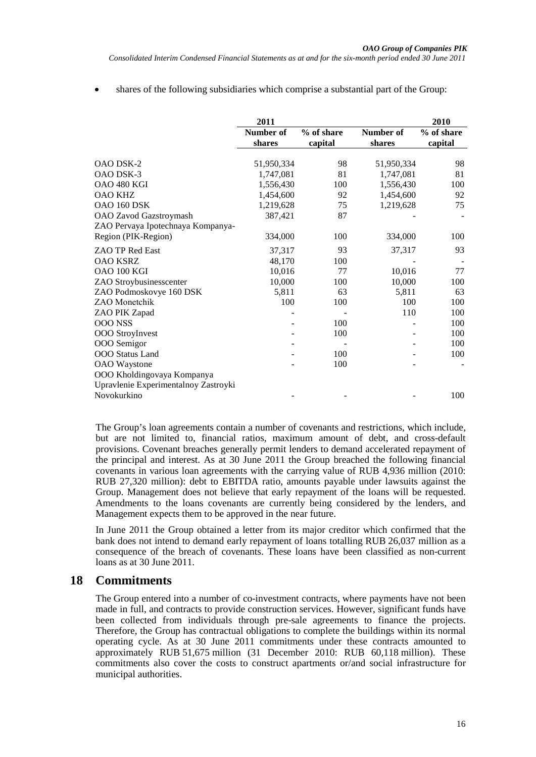shares of the following subsidiaries which comprise a substantial part of the Group:

|                                      | 2011       |            |            | 2010       |
|--------------------------------------|------------|------------|------------|------------|
|                                      | Number of  | % of share | Number of  | % of share |
|                                      | shares     | capital    | shares     | capital    |
|                                      |            |            |            |            |
| OAO DSK-2                            | 51,950,334 | 98         | 51,950,334 | 98         |
| <b>OAO DSK-3</b>                     | 1,747,081  | 81         | 1,747,081  | 81         |
| OAO 480 KGI                          | 1,556,430  | 100        | 1,556,430  | 100        |
| <b>OAO KHZ</b>                       | 1,454,600  | 92         | 1,454,600  | 92         |
| <b>OAO 160 DSK</b>                   | 1,219,628  | 75         | 1,219,628  | 75         |
| OAO Zavod Gazstroymash               | 387,421    | 87         |            |            |
| ZAO Pervaya Ipotechnaya Kompanya-    |            |            |            |            |
| Region (PIK-Region)                  | 334,000    | 100        | 334,000    | 100        |
| <b>ZAO TP Red East</b>               | 37,317     | 93         | 37,317     | 93         |
| <b>OAO KSRZ</b>                      | 48,170     | 100        |            |            |
| OAO 100 KGI                          | 10,016     | 77         | 10.016     | 77         |
| ZAO Stroybusinesscenter              | 10,000     | 100        | 10,000     | 100        |
| ZAO Podmoskovye 160 DSK              | 5,811      | 63         | 5,811      | 63         |
| <b>ZAO</b> Monetchik                 | 100        | 100        | 100        | 100        |
| ZAO PIK Zapad                        |            |            | 110        | 100        |
| <b>OOO NSS</b>                       |            | 100        |            | 100        |
| OOO StroyInvest                      |            | 100        |            | 100        |
| OOO Semigor                          |            |            |            | 100        |
| OOO Status Land                      |            | 100        |            | 100        |
| <b>OAO</b> Waystone                  |            | 100        |            |            |
| OOO Kholdingovaya Kompanya           |            |            |            |            |
| Upravlenie Experimentalnoy Zastroyki |            |            |            |            |
| Novokurkino                          |            |            |            | 100        |

The Group's loan agreements contain a number of covenants and restrictions, which include, but are not limited to, financial ratios, maximum amount of debt, and cross-default provisions. Covenant breaches generally permit lenders to demand accelerated repayment of the principal and interest. As at 30 June 2011 the Group breached the following financial covenants in various loan agreements with the carrying value of RUB 4,936 million (2010: RUB 27,320 million): debt to EBITDA ratio, amounts payable under lawsuits against the Group. Management does not believe that early repayment of the loans will be requested. Amendments to the loans covenants are currently being considered by the lenders, and Management expects them to be approved in the near future.

In June 2011 the Group obtained a letter from its major creditor which confirmed that the bank does not intend to demand early repayment of loans totalling RUB 26,037 million as a consequence of the breach of covenants. These loans have been classified as non-current loans as at 30 June 2011.

### **18 Commitments**

The Group entered into a number of co-investment contracts, where payments have not been made in full, and contracts to provide construction services. However, significant funds have been collected from individuals through pre-sale agreements to finance the projects. Therefore, the Group has contractual obligations to complete the buildings within its normal operating cycle. As at 30 June 2011 commitments under these contracts amounted to approximately RUB 51,675 million (31 December 2010: RUB 60,118 million). These commitments also cover the costs to construct apartments or/and social infrastructure for municipal authorities.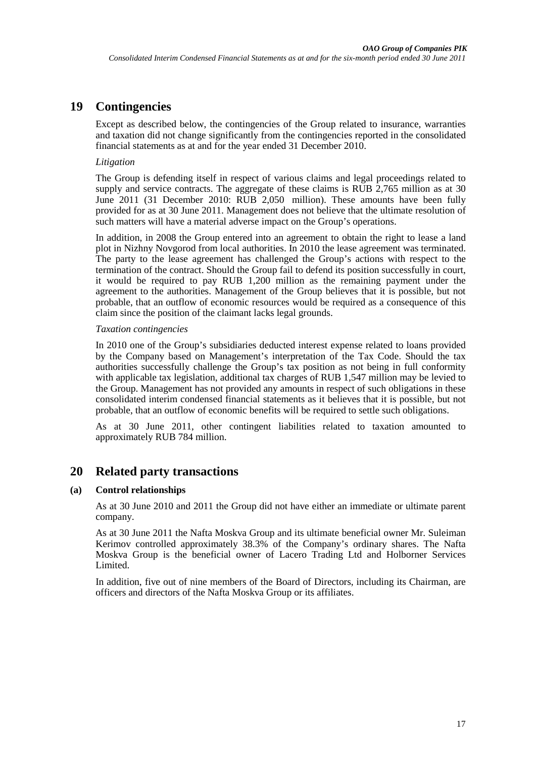## **19 Contingencies**

Except as described below, the contingencies of the Group related to insurance, warranties and taxation did not change significantly from the contingencies reported in the consolidated financial statements as at and for the year ended 31 December 2010.

#### *Litigation*

The Group is defending itself in respect of various claims and legal proceedings related to supply and service contracts. The aggregate of these claims is RUB 2,765 million as at 30 June 2011 (31 December 2010: RUB 2,050 million). These amounts have been fully provided for as at 30 June 2011. Management does not believe that the ultimate resolution of such matters will have a material adverse impact on the Group's operations.

In addition, in 2008 the Group entered into an agreement to obtain the right to lease a land plot in Nizhny Novgorod from local authorities. In 2010 the lease agreement was terminated. The party to the lease agreement has challenged the Group's actions with respect to the termination of the contract. Should the Group fail to defend its position successfully in court, it would be required to pay RUB 1,200 million as the remaining payment under the agreement to the authorities. Management of the Group believes that it is possible, but not probable, that an outflow of economic resources would be required as a consequence of this claim since the position of the claimant lacks legal grounds.

#### *Taxation contingencies*

In 2010 one of the Group's subsidiaries deducted interest expense related to loans provided by the Company based on Management's interpretation of the Tax Code. Should the tax authorities successfully challenge the Group's tax position as not being in full conformity with applicable tax legislation, additional tax charges of RUB 1,547 million may be levied to the Group. Management has not provided any amounts in respect of such obligations in these consolidated interim condensed financial statements as it believes that it is possible, but not probable, that an outflow of economic benefits will be required to settle such obligations.

As at 30 June 2011, other contingent liabilities related to taxation amounted to approximately RUB 784 million.

### **20 Related party transactions**

#### **(a) Control relationships**

As at 30 June 2010 and 2011 the Group did not have either an immediate or ultimate parent company.

As at 30 June 2011 the Nafta Moskva Group and its ultimate beneficial owner Mr. Suleiman Kerimov controlled approximately 38.3% of the Company's ordinary shares. The Nafta Moskva Group is the beneficial owner of Lacero Trading Ltd and Holborner Services Limited.

In addition, five out of nine members of the Board of Directors, including its Chairman, are officers and directors of the Nafta Moskva Group or its affiliates.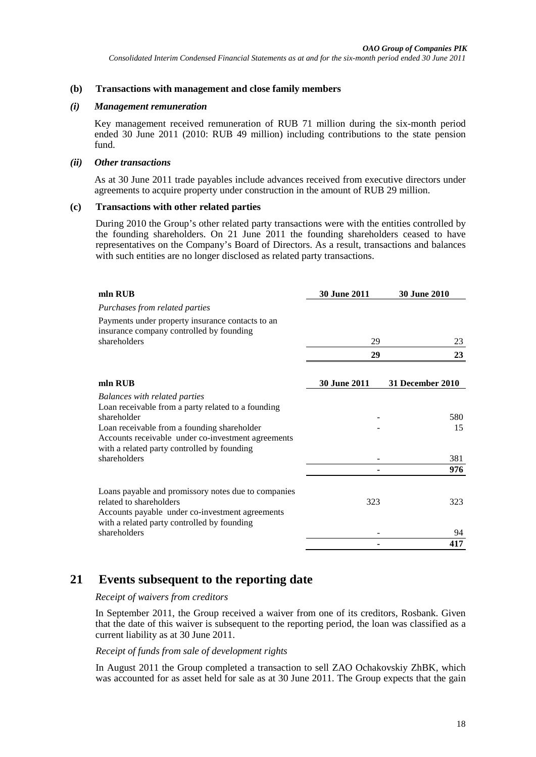#### **(b) Transactions with management and close family members**

#### *(i) Management remuneration*

Key management received remuneration of RUB 71 million during the six-month period ended 30 June 2011 (2010: RUB 49 million) including contributions to the state pension fund.

#### *(ii) Other transactions*

As at 30 June 2011 trade payables include advances received from executive directors under agreements to acquire property under construction in the amount of RUB 29 million.

#### **(c) Transactions with other related parties**

During 2010 the Group's other related party transactions were with the entities controlled by the founding shareholders. On 21 June 2011 the founding shareholders ceased to have representatives on the Company's Board of Directors. As a result, transactions and balances with such entities are no longer disclosed as related party transactions.

| mln RUB                                                                                                                                                                                                                                                                       | <b>30 June 2011</b> | <b>30 June 2010</b>     |
|-------------------------------------------------------------------------------------------------------------------------------------------------------------------------------------------------------------------------------------------------------------------------------|---------------------|-------------------------|
| Purchases from related parties                                                                                                                                                                                                                                                |                     |                         |
| Payments under property insurance contacts to an<br>insurance company controlled by founding                                                                                                                                                                                  |                     |                         |
| shareholders                                                                                                                                                                                                                                                                  | 29                  | 23                      |
|                                                                                                                                                                                                                                                                               | 29                  | 23                      |
| mln RUB                                                                                                                                                                                                                                                                       | <b>30 June 2011</b> | <b>31 December 2010</b> |
| <b>Balances with related parties</b><br>Loan receivable from a party related to a founding<br>shareholder<br>Loan receivable from a founding shareholder<br>Accounts receivable under co-investment agreements<br>with a related party controlled by founding<br>shareholders |                     | 580<br>15<br>381        |
|                                                                                                                                                                                                                                                                               |                     | 976                     |
| Loans payable and promissory notes due to companies<br>related to shareholders<br>Accounts payable under co-investment agreements<br>with a related party controlled by founding                                                                                              | 323                 | 323                     |
| shareholders                                                                                                                                                                                                                                                                  |                     | 94                      |
|                                                                                                                                                                                                                                                                               |                     | 417                     |

### **21 Events subsequent to the reporting date**

#### *Receipt of waivers from creditors*

In September 2011, the Group received a waiver from one of its creditors, Rosbank. Given that the date of this waiver is subsequent to the reporting period, the loan was classified as a current liability as at 30 June 2011.

#### *Receipt of funds from sale of development rights*

In August 2011 the Group completed a transaction to sell ZAO Ochakovskiy ZhBK, which was accounted for as asset held for sale as at 30 June 2011. The Group expects that the gain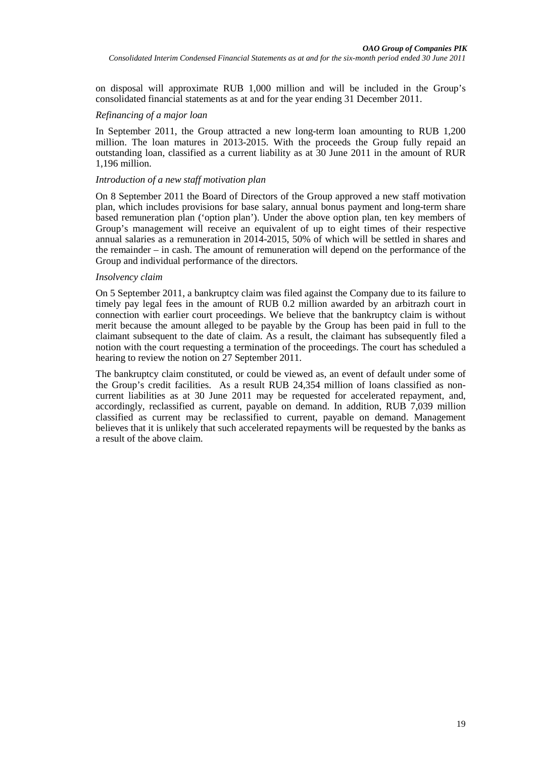on disposal will approximate RUB 1,000 million and will be included in the Group's consolidated financial statements as at and for the year ending 31 December 2011.

#### *Refinancing of a major loan*

In September 2011, the Group attracted a new long-term loan amounting to RUB 1,200 million. The loan matures in 2013-2015. With the proceeds the Group fully repaid an outstanding loan, classified as a current liability as at 30 June 2011 in the amount of RUR 1,196 million.

#### *Introduction of a new staff motivation plan*

On 8 September 2011 the Board of Directors of the Group approved a new staff motivation plan, which includes provisions for base salary, annual bonus payment and long-term share based remuneration plan ('option plan'). Under the above option plan, ten key members of Group's management will receive an equivalent of up to eight times of their respective annual salaries as a remuneration in 2014-2015, 50% of which will be settled in shares and the remainder – in cash. The amount of remuneration will depend on the performance of the Group and individual performance of the directors.

#### *Insolvency claim*

On 5 September 2011, a bankruptcy claim was filed against the Company due to its failure to timely pay legal fees in the amount of RUB 0.2 million awarded by an arbitrazh court in connection with earlier court proceedings. We believe that the bankruptcy claim is without merit because the amount alleged to be payable by the Group has been paid in full to the claimant subsequent to the date of claim. As a result, the claimant has subsequently filed a notion with the court requesting a termination of the proceedings. The court has scheduled a hearing to review the notion on 27 September 2011.

The bankruptcy claim constituted, or could be viewed as, an event of default under some of the Group's credit facilities. As a result RUB 24,354 million of loans classified as noncurrent liabilities as at 30 June 2011 may be requested for accelerated repayment, and, accordingly, reclassified as current, payable on demand. In addition, RUB 7,039 million classified as current may be reclassified to current, payable on demand. Management believes that it is unlikely that such accelerated repayments will be requested by the banks as a result of the above claim.